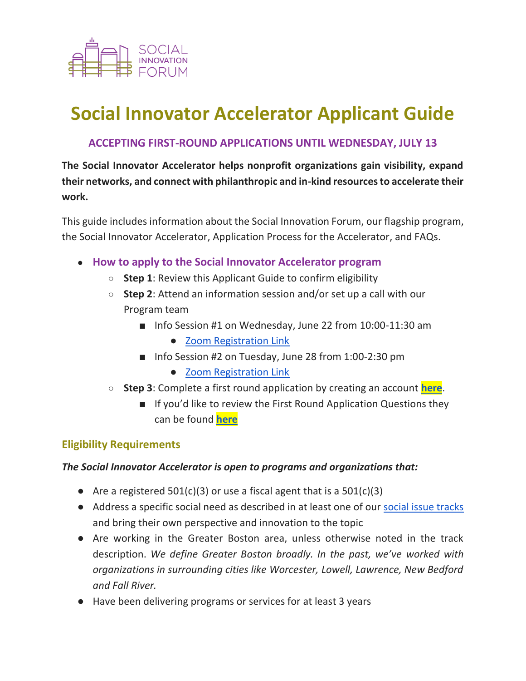

# **Social Innovator Accelerator Applicant Guide**

## **ACCEPTING FIRST-ROUND APPLICATIONS UNTIL WEDNESDAY, JULY 13**

**The Social Innovator Accelerator helps nonprofit organizations gain visibility, expand their networks, and connect with philanthropic and in-kind resources to accelerate their work.** 

This guide includes information about the Social Innovation Forum, our flagship program, the Social Innovator Accelerator, Application Process for the Accelerator, and FAQs.

- **How to apply to the Social Innovator Accelerator program**
	- **Step 1**: Review this Applicant Guide to confirm eligibility
	- **Step 2**: Attend an information session and/or set up a call with our Program team
		- Info Session #1 on Wednesday, June 22 from 10:00-11:30 am
			- [Zoom Registration Link](https://us02web.zoom.us/meeting/register/tZIpc-2upjsvG9d93wwAI5hooKjA0Gd0w6uE)
		- Info Session #2 on Tuesday, June 28 from 1:00-2:30 pm
			- [Zoom Registration Link](https://us02web.zoom.us/meeting/register/tZEude6srDgsGdMcPvMtFi6Z6lAsFpKYpqyf)
	- **Step 3**: Complete a first round application by creating an account **[here](https://sifaccelerator.secure-platform.com/a/solicitations/5/home)**.
		- If you'd like to review the First Round Application Questions they can be found **[here](https://www.socialinnovationforum.org/sites/default/files/SIF_2023_First_Round_Application_Questions.pdf)**

## **Eligibility Requirements**

## *The Social Innovator Accelerator is open to programs and organizations that:*

- Are a registered  $501(c)(3)$  or use a fiscal agent that is a  $501(c)(3)$
- Address a specific social need as described in at least one of our [social issue tracks](#page-2-0) and bring their own perspective and innovation to the topic
- Are working in the Greater Boston area, unless otherwise noted in the track description. *We define Greater Boston broadly. In the past, we've worked with organizations in surrounding cities like Worcester, Lowell, Lawrence, New Bedford and Fall River.*
- Have been delivering programs or services for at least 3 years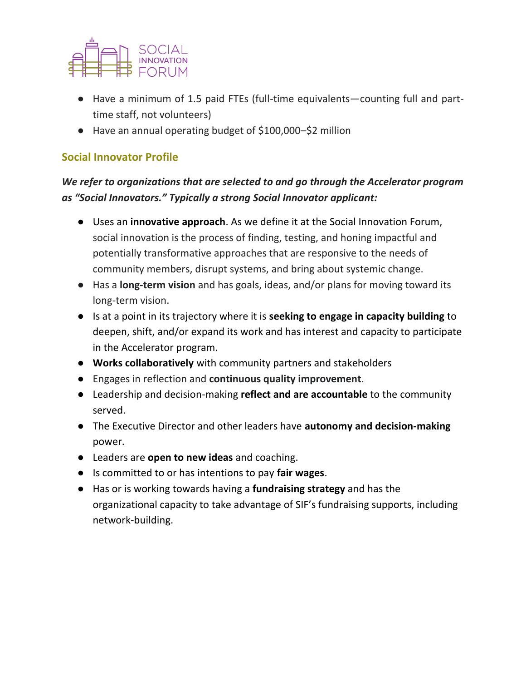

- Have a minimum of 1.5 paid FTEs (full-time equivalents—counting full and parttime staff, not volunteers)
- Have an annual operating budget of \$100,000–\$2 million

## **Social Innovator Profile**

## *We refer to organizations that are selected to and go through the Accelerator program as "Social Innovators." Typically a strong Social Innovator applicant:*

- Uses an **innovative approach**. As we define it at the Social Innovation Forum, social innovation is the process of finding, testing, and honing impactful and potentially transformative approaches that are responsive to the needs of community members, disrupt systems, and bring about systemic change.
- Has a **long-term vision** and has goals, ideas, and/or plans for moving toward its long-term vision.
- Is at a point in its trajectory where it is **seeking to engage in capacity building** to deepen, shift, and/or expand its work and has interest and capacity to participate in the Accelerator program.
- **Works collaboratively** with community partners and stakeholders
- Engages in reflection and **continuous quality improvement**.
- Leadership and decision-making **reflect and are accountable** to the community served.
- The Executive Director and other leaders have **autonomy and decision-making** power.
- Leaders are **open to new ideas** and coaching.
- Is committed to or has intentions to pay **fair wages**.
- Has or is working towards having a **fundraising strategy** and has the organizational capacity to take advantage of SIF's fundraising supports, including network-building.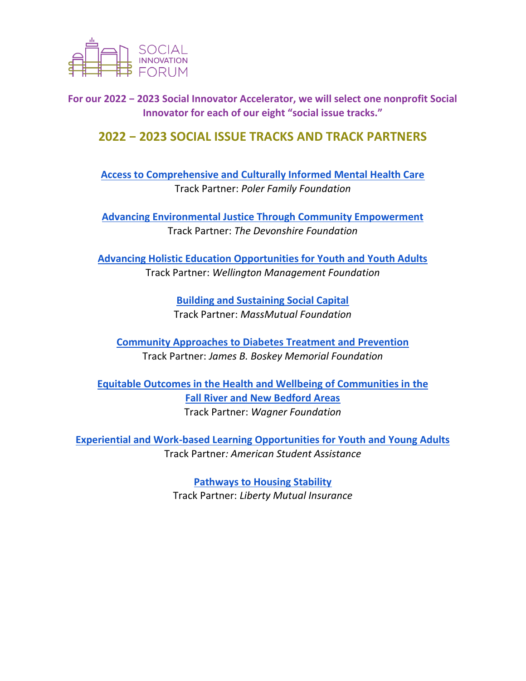

<span id="page-2-0"></span>**For our 2022 − 2023 Social Innovator Accelerator, we will select one nonprofit Social Innovator for each of our eight "social issue tracks."** 

## **2022 − 2023 SOCIAL ISSUE TRACKS AND TRACK PARTNERS**

**[Access to Comprehensive and Culturally Informed Mental Health Care](http://www.socialinnovationforum.org/sites/default/files/SIF_2023_Poler_Track_Description.pdf)** Track Partner: *Poler Family Foundation* 

**[Advancing Environmental Justice Through Community Empowerment](https://www.socialinnovationforum.org/sites/default/files/SIF_2023_Devonshire_Track_Description.pdf)** Track Partner: *The Devonshire Foundation* 

**[Advancing Holistic Education Opportunities for Youth and Youth Adults](http://www.socialinnovationforum.org/sites/default/files/SIF_2023_Wellington_Track_Description.pdf)** Track Partner: *Wellington Management Foundation*

> **[Building and Sustaining Social Capital](http://www.socialinnovationforum.org/sites/default/files/SIF_2023_MassMutual_Track_Description.pdf)**  Track Partner: *MassMutual Foundation*

**[Community Approaches to Diabetes Treatment and Prevention](http://www.socialinnovationforum.org/sites/default/files/SIF_2023_JBBMF_Track_Description.pdf)** Track Partner: *James B. Boskey Memorial Foundation* 

**[Equitable Outcomes in the Health and Wellbeing of Communities in](http://www.socialinnovationforum.org/sites/default/files/SIF_2023_Wagner_Track_Description.pdf) the [Fall River and New Bedford Areas](http://www.socialinnovationforum.org/sites/default/files/SIF_2023_Wagner_Track_Description.pdf)** Track Partner: *Wagner Foundation* 

**[Experiential and Work-based Learning Opportunities for Youth and Young Adults](https://www.socialinnovationforum.org/sites/default/files/SIF_2023_ASA_Track_Description.pdf)** Track Partner*: American Student Assistance* 

> **[Pathways to Housing Stability](http://www.socialinnovationforum.org/sites/default/files/SIF_2023_Liberty_Mutual_Track_Description.pdf)** Track Partner: *Liberty Mutual Insurance*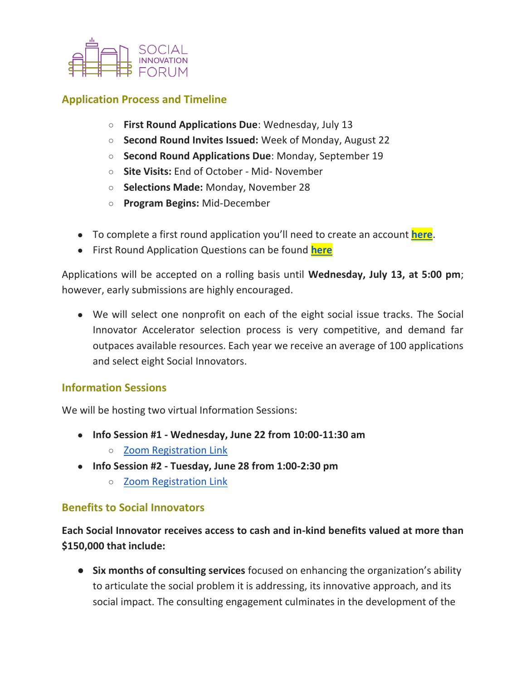

## **Application Process and Timeline**

- **First Round Applications Due**: Wednesday, July 13
- **Second Round Invites Issued:** Week of Monday, August 22
- **Second Round Applications Due**: Monday, September 19
- **Site Visits:** End of October Mid- November
- **Selections Made:** Monday, November 28
- **Program Begins:** Mid-December
- To complete a first round application you'll need to create an account **[here](https://sifaccelerator.secure-platform.com/a/solicitations/5/home)**.
- First Round Application Questions can be found **[here](https://www.socialinnovationforum.org/sites/default/files/SIF_2023_First_Round_Application_Questions.pdf)**

Applications will be accepted on a rolling basis until **Wednesday, July 13, at 5:00 pm**; however, early submissions are highly encouraged.

● We will select one nonprofit on each of the eight social issue tracks. The Social Innovator Accelerator selection process is very competitive, and demand far outpaces available resources. Each year we receive an average of 100 applications and select eight Social Innovators.

## **Information Sessions**

We will be hosting two virtual Information Sessions:

- **Info Session #1 - Wednesday, June 22 from 10:00-11:30 am**
	- [Zoom Registration Link](https://us02web.zoom.us/meeting/register/tZIpc-2upjsvG9d93wwAI5hooKjA0Gd0w6uE)
- **Info Session #2 - Tuesday, June 28 from 1:00-2:30 pm**
	- [Zoom Registration Link](https://us02web.zoom.us/meeting/register/tZEude6srDgsGdMcPvMtFi6Z6lAsFpKYpqyf)

### **Benefits to Social Innovators**

**Each Social Innovator receives access to cash and in-kind benefits valued at more than \$150,000 that include:** 

● **Six months of consulting services** focused on enhancing the organization's ability to articulate the social problem it is addressing, its innovative approach, and its social impact. The consulting engagement culminates in the development of the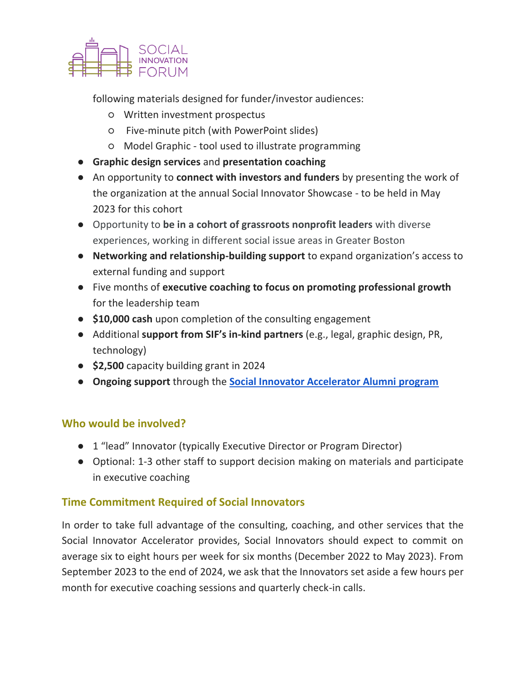

following materials designed for funder/investor audiences:

- Written investment prospectus
- Five-minute pitch (with PowerPoint slides)
- Model Graphic tool used to illustrate programming
- **Graphic design services** and **presentation coaching**
- An opportunity to **connect with investors and funders** by presenting the work of the organization at the annual Social Innovator Showcase - to be held in May 2023 for this cohort
- Opportunity to **be in a cohort of grassroots nonprofit leaders** with diverse experiences, working in different social issue areas in Greater Boston
- **Networking and relationship-building support** to expand organization's access to external funding and support
- Five months of **executive coaching to focus on promoting professional growth** for the leadership team
- **\$10,000 cash** upon completion of the consulting engagement
- Additional **support from SIF's in-kind partners** (e.g., legal, graphic design, PR, technology)
- **\$2,500** capacity building grant in 2024
- **Ongoing support** through the **[Social Innovator Accelerator Alumni program](https://www.socialinnovationforum.org/alumni-program)**

## **Who would be involved?**

- 1 "lead" Innovator (typically Executive Director or Program Director)
- Optional: 1-3 other staff to support decision making on materials and participate in executive coaching

## **Time Commitment Required of Social Innovators**

In order to take full advantage of the consulting, coaching, and other services that the Social Innovator Accelerator provides, Social Innovators should expect to commit on average six to eight hours per week for six months (December 2022 to May 2023). From September 2023 to the end of 2024, we ask that the Innovators set aside a few hours per month for executive coaching sessions and quarterly check-in calls.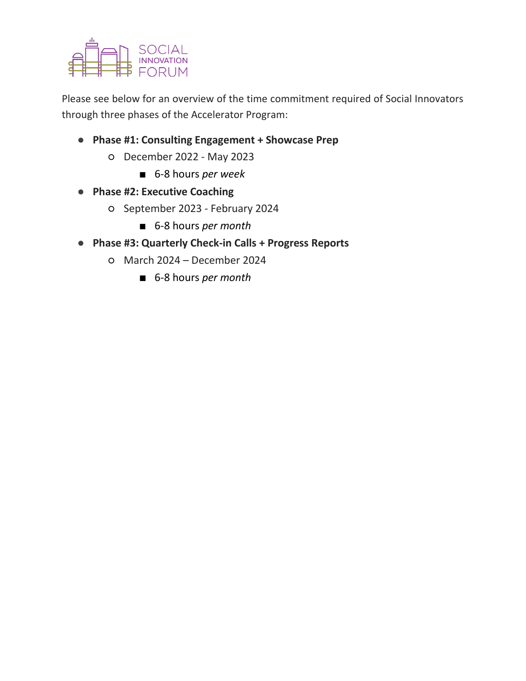

Please see below for an overview of the time commitment required of Social Innovators through three phases of the Accelerator Program:

- **Phase #1: Consulting Engagement + Showcase Prep**
	- December 2022 May 2023
		- 6-8 hours *per week*
- **Phase #2: Executive Coaching**
	- September 2023 February 2024
		- 6-8 hours *per month*
- **Phase #3: Quarterly Check-in Calls + Progress Reports**
	- March 2024 December 2024
		- 6-8 hours *per month*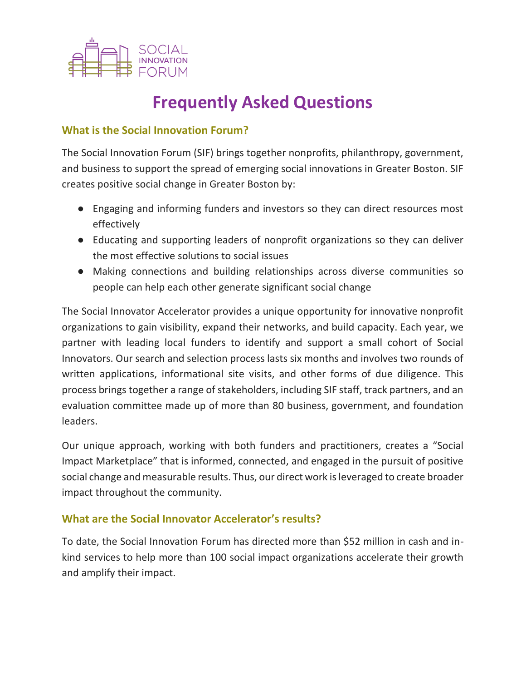

## **Frequently Asked Questions**

## **What is the Social Innovation Forum?**

The Social Innovation Forum (SIF) brings together nonprofits, philanthropy, government, and business to support the spread of emerging social innovations in Greater Boston. SIF creates positive social change in Greater Boston by:

- Engaging and informing funders and investors so they can direct resources most effectively
- Educating and supporting leaders of nonprofit organizations so they can deliver the most effective solutions to social issues
- Making connections and building relationships across diverse communities so people can help each other generate significant social change

The Social Innovator Accelerator provides a unique opportunity for innovative nonprofit organizations to gain visibility, expand their networks, and build capacity. Each year, we partner with leading local funders to identify and support a small cohort of Social Innovators. Our search and selection process lasts six months and involves two rounds of written applications, informational site visits, and other forms of due diligence. This process brings together a range of stakeholders, including SIF staff, track partners, and an evaluation committee made up of more than 80 business, government, and foundation leaders.

Our unique approach, working with both funders and practitioners, creates a "Social Impact Marketplace" that is informed, connected, and engaged in the pursuit of positive social change and measurable results. Thus, our direct work is leveraged to create broader impact throughout the community.

## **What are the Social Innovator Accelerator's results?**

To date, the Social Innovation Forum has directed more than \$52 million in cash and inkind services to help more than 100 social impact organizations accelerate their growth and amplify their impact.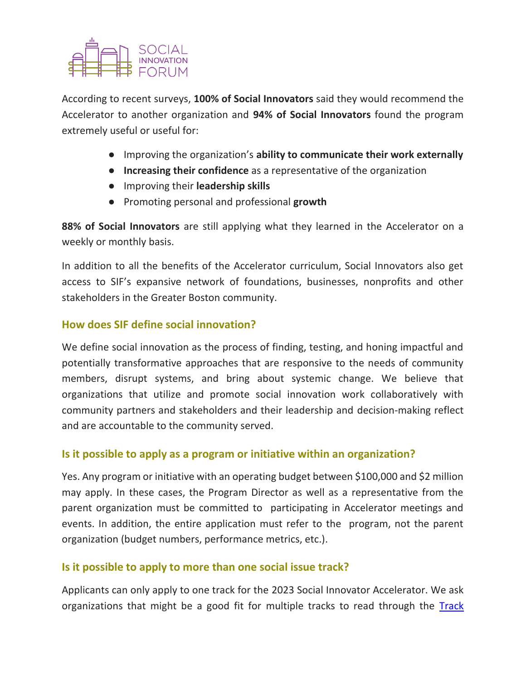According to recent surveys, **100% of Social Innovators** said they would recommend the Accelerator to another organization and **94% of Social Innovators** found the program extremely useful or useful for:

- Improving the organization's **ability to communicate their work externally**
- **Increasing their confidence** as a representative of the organization
- Improving their **leadership skills**
- Promoting personal and professional **growth**

**88% of Social Innovators** are still applying what they learned in the Accelerator on a weekly or monthly basis.

In addition to all the benefits of the Accelerator curriculum, Social Innovators also get access to SIF's expansive network of foundations, businesses, nonprofits and other stakeholders in the Greater Boston community.

## **How does SIF define social innovation?**

We define social innovation as the process of finding, testing, and honing impactful and potentially transformative approaches that are responsive to the needs of community members, disrupt systems, and bring about systemic change. We believe that organizations that utilize and promote social innovation work collaboratively with community partners and stakeholders and their leadership and decision-making reflect and are accountable to the community served.

## **Is it possible to apply as a program or initiative within an organization?**

Yes. Any program or initiative with an operating budget between \$100,000 and \$2 million may apply. In these cases, the Program Director as well as a representative from the parent organization must be committed to participating in Accelerator meetings and events. In addition, the entire application must refer to the program, not the parent organization (budget numbers, performance metrics, etc.).

## **Is it possible to apply to more than one social issue track?**

Applicants can only apply to one track for the 2023 Social Innovator Accelerator. We ask organizations that might be a good fit for multiple tracks to read through the Track